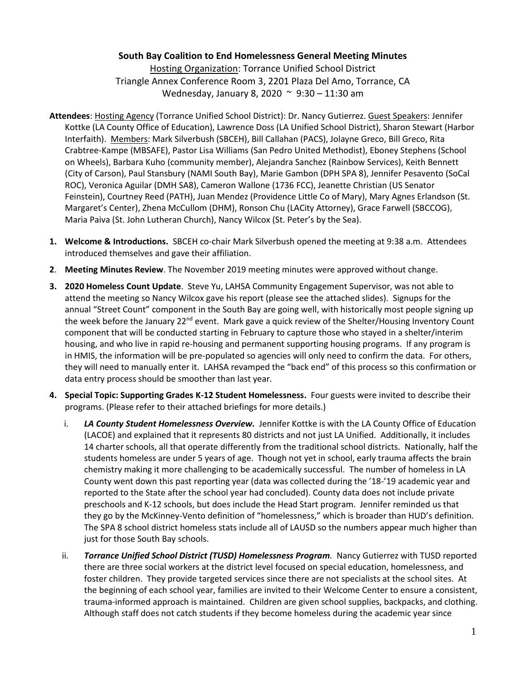## **South Bay Coalition to End Homelessness General Meeting Minutes**

Hosting Organization: Torrance Unified School District Triangle Annex Conference Room 3, 2201 Plaza Del Amo, Torrance, CA Wednesday, January 8, 2020 ~ 9:30 – 11:30 am

- **Attendees**: Hosting Agency (Torrance Unified School District): Dr. Nancy Gutierrez. Guest Speakers: Jennifer Kottke (LA County Office of Education), Lawrence Doss (LA Unified School District), Sharon Stewart (Harbor Interfaith). Members: Mark Silverbush (SBCEH), Bill Callahan (PACS), Jolayne Greco, Bill Greco, Rita Crabtree-Kampe (MBSAFE), Pastor Lisa Williams (San Pedro United Methodist), Eboney Stephens (School on Wheels), Barbara Kuho (community member), Alejandra Sanchez (Rainbow Services), Keith Bennett (City of Carson), Paul Stansbury (NAMI South Bay), Marie Gambon (DPH SPA 8), Jennifer Pesavento (SoCal ROC), Veronica Aguilar (DMH SA8), Cameron Wallone (1736 FCC), Jeanette Christian (US Senator Feinstein), Courtney Reed (PATH), Juan Mendez (Providence Little Co of Mary), Mary Agnes Erlandson (St. Margaret's Center), Zhena McCullom (DHM), Ronson Chu (LACity Attorney), Grace Farwell (SBCCOG), Maria Paiva (St. John Lutheran Church), Nancy Wilcox (St. Peter's by the Sea).
- **1. Welcome & Introductions.** SBCEH co-chair Mark Silverbush opened the meeting at 9:38 a.m. Attendees introduced themselves and gave their affiliation.
- **2**. **Meeting Minutes Review**. The November 2019 meeting minutes were approved without change.
- **3. 2020 Homeless Count Update**. Steve Yu, LAHSA Community Engagement Supervisor, was not able to attend the meeting so Nancy Wilcox gave his report (please see the attached slides). Signups for the annual "Street Count" component in the South Bay are going well, with historically most people signing up the week before the January 22<sup>nd</sup> event. Mark gave a quick review of the Shelter/Housing Inventory Count component that will be conducted starting in February to capture those who stayed in a shelter/interim housing, and who live in rapid re-housing and permanent supporting housing programs. If any program is in HMIS, the information will be pre-populated so agencies will only need to confirm the data. For others, they will need to manually enter it. LAHSA revamped the "back end" of this process so this confirmation or data entry process should be smoother than last year.
- **4. Special Topic: Supporting Grades K-12 Student Homelessness.** Four guests were invited to describe their programs. (Please refer to their attached briefings for more details.)
	- i. LA County Student Homelessness Overview. Jennifer Kottke is with the LA County Office of Education (LACOE) and explained that it represents 80 districts and not just LA Unified. Additionally, it includes 14 charter schools, all that operate differently from the traditional school districts. Nationally, half the students homeless are under 5 years of age. Though not yet in school, early trauma affects the brain chemistry making it more challenging to be academically successful. The number of homeless in LA County went down this past reporting year (data was collected during the '18-'19 academic year and reported to the State after the school year had concluded). County data does not include private preschools and K-12 schools, but does include the Head Start program. Jennifer reminded us that they go by the McKinney-Vento definition of "homelessness," which is broader than HUD's definition. The SPA 8 school district homeless stats include all of LAUSD so the numbers appear much higher than just for those South Bay schools.
	- ii. *Torrance Unified School District (TUSD) Homelessness Program.* Nancy Gutierrez with TUSD reported there are three social workers at the district level focused on special education, homelessness, and foster children. They provide targeted services since there are not specialists at the school sites. At the beginning of each school year, families are invited to their Welcome Center to ensure a consistent, trauma-informed approach is maintained. Children are given school supplies, backpacks, and clothing. Although staff does not catch students if they become homeless during the academic year since